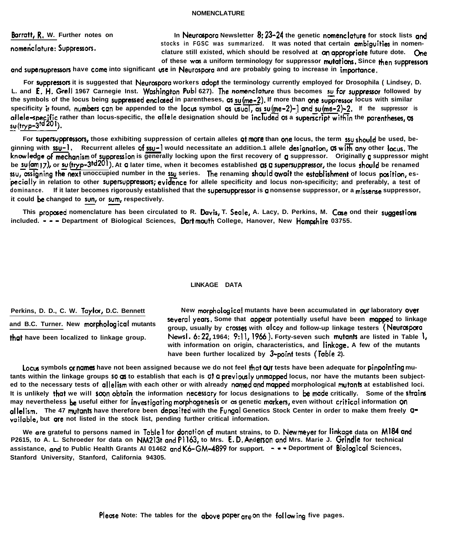**and B.C. Turner. New morpholcgical mutants**

Perkins, D. D., C. W. Taylor, D.C. Bennett **New morphological mutants have been accumulated in our laboratory over** several years. Some that appear potentially useful have been mapped to linkage **group, usually by cvnses with olcoy and follow-up linkage testers (Neurospua that have been localized to linkage group. Newrl. 6:22, 1964; 9:ll, 1966). Forty-seven such mutents are listed in Table I, with information on origin, characteristics, and linkage. A few of the mutants have been further localized by 3-pcint tests (Table 2).**

Locus symbols or names have not been assigned because we do not feel that **QUT** tests have been adequate for pinpointing mutants within the linkage groups 50 **g** to establish that each is g† a previously unmapped locus, nor have the mutants been subject**ed to the necessary tests of allelism with each other or with already named and mqppd morphological mutontr at established loci.** It is unlikely that we will soon obtain the information necessary for locus designations to be made critically. Some of the strains **may nevertheless be useful either for investigating motphogeneris or as genetic makers, even without critical information on** allelism. The 47 mutants have therefore been deposited with the Fungal Genetics Stock Center in order to make them freely a**vailable, but ore not listed in the stock list, pending further critical information.**

**We are grateful to persons named in Table I for donotion of mutant strains, to D. Newmeyer for linkage data on Ml84 and P2615, to A. L. Schroeder for data on NM213t and Pll63, to Mrs. E.D.A <sup>n</sup> denon and Mrs. Marie J. Grindle for technical assistance, mxl to Public Health Grants Al 01462 clnd K6-GM-4899 for support. - - - Deportment of Biolcgicol Sciences, Stanford University, Stanford, California 94305.**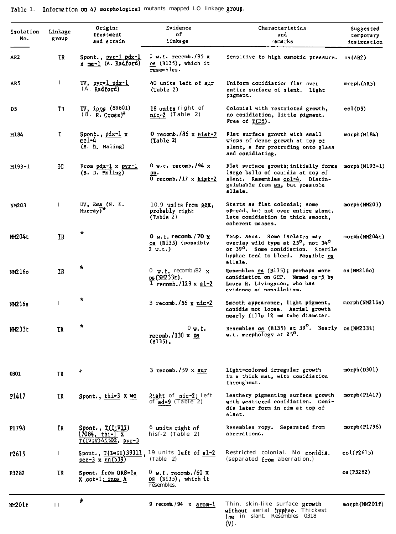| Isolation<br>No. | Linkage<br>group | Origin:<br>treatment<br>and strain                                | Evidence<br>of<br>linkage                                              | Characteristics<br>and<br>emarks                                                                                                                                     | Suggested<br>temporary<br>designation |  |
|------------------|------------------|-------------------------------------------------------------------|------------------------------------------------------------------------|----------------------------------------------------------------------------------------------------------------------------------------------------------------------|---------------------------------------|--|
| AR <sub>2</sub>  | IR.              | Spont., pyr-1 pdx-1<br>x me-1 (A. Radford)                        | $0$ w.t. recomb./95 x<br>os (B135), which it<br>resembles.             | Sensitive to high osmotic pressure.                                                                                                                                  | os(AR2)                               |  |
| AR5              | Ι                | UV, pyr-1 pdx-1<br>$(A.$ Radford)                                 | 40 units left of aur<br>(Table 2)                                      | Uniform conidiation flat over<br>entire surface of slant. Light<br>pigment.                                                                                          | morph(AR5)                            |  |
| D5.              | IR               | UV, inos (89601)<br>$(8.$ $R.$ Gross) <sup>†</sup>                | 18 units right of<br>$nic-2$ (Table 2)                                 | Colonial with restricted growth,<br>no conidiation, little pigment.<br>Free of $T(D5)$ .                                                                             | col(D5)                               |  |
| M184             | Ŧ                | Spont., $pdx-1$ x<br><u>col-4</u><br>(B. D. Maling)               | 0 recomb./86 $x$ hist-2<br>(Table 2)                                   | Flat surface growth with small<br>wisps of dense growth at top of<br>slant, a few protruding onto glass<br>and conidiating.                                          | morph(M184)                           |  |
| M193-1           | IC               | From $pdx-1$ x $pyr-1$<br>(B. D. Maling)                          | $0$ w.t. recomb./94 x<br>Bn.<br><b>0 recomb./17 x hist-2</b>           | Flat surface growth; initially forms<br>large balls of conidia at top of<br>slant. Resembles col-4. Distin-<br>guishable from <u>sn</u> , but possible<br>allele.    | $morph(M193-1)$                       |  |
| NM203            | $\bf{I}$         | $UV$ , Ema (N. E.<br>$Murray)$ <sup>*</sup>                       | 10.9 units from sex,<br>probably right<br>(Table 2)                    | Starts as flat colonial; some<br>spread, but not over entire slant.<br>Late conidiation in thick smooth,<br>coherent masses.                                         | morph (NM203)                         |  |
| NM204t           | <b>IR</b>        | *                                                                 | $0 \le L$ , recomb. /70 $\times$<br>os (Bl35) (possibly<br>2 w.t.)     | Temp. sens. Some isolates may<br>overlap wild type at 25°, not 34°<br>or 39 <sup>0</sup> . Some conidiation. Sterile<br>hyphae tend to bleed. Possible os<br>allele. | morph (NM204t)                        |  |
| NM216o           | 1R               | $\pmb{\ast}$                                                      | 0 $v \cdot t$ recomb./82 $x$<br>os (NM233t).<br>$T$ recomb./129 x al-2 | Resembles os (B135); perhaps more<br>conidiation on GCP. Named os-5 by<br>Laura R. Livingston, who has<br>evidence of nonallelism.                                   | os (NM216o)                           |  |
| NM216s           | I                | *                                                                 | 3 recomb./56 $x$ nic-2                                                 | Smooth appearance, light pigment,<br>conidia not loose. Aerial growth<br>nearly fills 12 mm tube diameter.                                                           | morph (NM216s)                        |  |
| NM233t           | IR               | *                                                                 | $0 \mathbf{u}$ .t.<br>$recomb. / 130 \times os$<br>$(B135)$ ,          | Resembles $_{08}$ (B135) at 39 <sup>°</sup> . Nearly $_{08}$ (NM233t)<br>w.t. morphology at 25°.                                                                     |                                       |  |
| 0301             | <b>IR</b>        | ÷                                                                 | $3$ recomb./59 x aur                                                   | Light-colored irregular growth<br>in a thick mat, with conidiation<br>throughout.                                                                                    | morph(D301)                           |  |
| P1417            | IR               | Spont., $thi-3$ X WC                                              | Right of nic-2; left<br>of $ad-9$ (Table 2)                            | Leathery pigmenting surface growth<br>with scattered conidiation. Coni-<br>dia later form in rim at top of<br>slant.                                                 | morph(P1417)                          |  |
| P1798            | IR               | Spont., $T(I;VII)$<br>$17084$ , thi-1 x<br>$T(IV;V)45502$ , pyr-3 | 6 units right of<br>hisf-2 $(Table 2)$                                 | Resembles ropy. Separated from<br>aberrations.                                                                                                                       | morph(P1798)                          |  |
| P2615            | Ι.               | <u>ser-3</u> x un(b39)                                            | Spont., T(I+II)39311, 19 units left of al-2<br>(Table 2)               | Restricted colonial. No conidia.<br>(separated from aberration.)                                                                                                     | col(P2615)                            |  |
| P3282            | IR               | Spont. from OR8-la<br>x cot-1; inos A                             | 0 w.t. recomb./60 x<br>$0s$ (B135), which it<br>resembles.             |                                                                                                                                                                      | os (P3282)                            |  |
| NM201f           | П                | $\star$                                                           | 9 recomb./94 $\chi$ arom-1                                             | Thin, skin-like surface growth<br>without aerial hyphae. Thickest<br>low in slant. Resembles 0318<br>$(V)$ .                                                         | morph(MM201f)                         |  |

Table 1. Information on 47 morphological mutants mapped LO linkage group.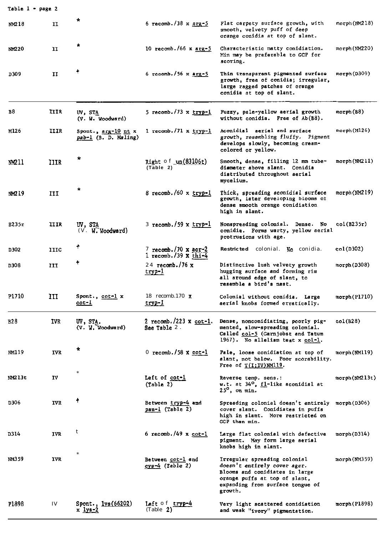| Table 1 - page 2 |             |                                             |                                                   |                                                                                                                                                                                |                      |
|------------------|-------------|---------------------------------------------|---------------------------------------------------|--------------------------------------------------------------------------------------------------------------------------------------------------------------------------------|----------------------|
| NM218            | H           | $\star$                                     | 6 recomb./38 $x$ arg-5                            | Flat carpety surface growth, with<br>smooth, velvety puff of deep<br>orange conidia at top of slant.                                                                           | morph(NM218)         |
| NM220            | IJ          | $\star$                                     | 10 recomb./66 x $\frac{\text{arg-5}}{\text{arg}}$ | Characteristic matty conidiation.<br>Min may be preferable to GCP for<br>scoring.                                                                                              | $m$ orph (NM $220$ ) |
| D309             | II          |                                             | 6 recomb./56 x $arg-5$                            | Thin transparent pigmented surface<br>growth, free of conidia; irregular,<br>large ragged patches of orange<br>conidia at top of slant.                                        | morph (D309).        |
| в8               | IIIR        | UV, STA<br>(V. W. Woodward)                 | 5 recomb./73 x $tryp-1$                           | Fuzzy, pale-yellow aerial growth<br>without conidia. Free of Ab(B8).                                                                                                           | morph(B8)            |
| M126             | HIR         | Spont., arg-10 nt x<br>pab-1 (B. D. Maling) | $1$ recomb./71 x tryp-1                           | Aconidial aerial and surface<br>growth, resembling fluffy. Pigment<br>develops slowly, becoming cream-<br>colored or yellow.                                                   | morph (M126)         |
| M211             | <b>IIIR</b> | *                                           | Right of $un(83106t)$<br>(Table 2)                | Smooth, dense, filling 12 mm tube-<br>diameter above slant. Conidia<br>distributed throughout aerial<br>mycelium.                                                              | morph(NM211)         |
| NM219            | ИI          | ŵ                                           | 8 recomb./60 x tryp-1                             | Thick, spreading aconidial surface<br>growth, later developing blooms of<br>dense smooth orange conidiation<br>high in slant.                                                  | morph(MM219)         |
| B235r            | IIIR        | UV, STA<br>(V. W. Woodward)                 | 3 recomb./59 x tryp-1                             | Nonspreading colonial. Dense. No<br>conidia. Forms warty, yellow aerial<br>protrusions with age.                                                                               | col(B235r)           |
| D302             | 11IC        | t                                           | 7 recomb./70 x acr-2<br>$1$ recomb./39 x $thi-4$  | Restricted colonial. No conidia.                                                                                                                                               | col(D302)            |
| D308             | III         | ۰                                           | $24$ recomb./76 x<br><u>tryp-1</u>                | Distinctive lush velvety growth<br>hugging surface and forming rim<br>all around edge of slant, to<br>resemble a bird's nest.                                                  | morph(D308)          |
| P1710            | III         | Spont., cot-1 x<br><u>cot-I</u>             | 18 recomb.170 x<br><u>tryp-l</u>                  | Colonial without conidia. Large<br>aerial knobs formed erratically.                                                                                                            | $morph($ P $1710)$   |
| B <sub>28</sub>  | IVR.        | UV, STA.<br>(V. W. Woodward)                | 2 recomb./223 x $cot-1$ .<br>See Table 2.         | Dense, nonconidiating, poorly pig-<br>mented, slow-spreading colonial.<br>Called col-5 (Garnjobst and Tatum<br>1967). No allelism test x col-1.                                | col(B28)             |
| NM119            | <b>TVR</b>  | $\pmb{\ast}$                                | 0 recomb./58 $x$ cot-1                            | Pale, loose conidiation at top of<br>slant, not below. Poor scorability.<br>Free of $T(I;IV)$ NM119.                                                                           | morph (NM119)        |
| NM213t           | IV          |                                             | Left of cot-1<br>$(\text{Table 2})$               | Reverse temp. sens.:<br>w.t. at $34^{\circ}$ , fl-like aconidial at<br>25°, on mín.                                                                                            | morph(M213t)         |
| D306             | <b>IVR</b>  | Ť                                           | Between tryp-4 and<br>pan-1 (Table 2)             | Spreading colonial doesn't entirely morph(D306)<br>cover slant. Conidiates in puffs<br>high in slant. More restricted on<br>GCP than min.                                      |                      |
| D314             | IVR         | t                                           | 6 recomb./49 $x$ cot-1                            | Large flat colonial with defective<br>pigment. May form large aerial<br>knobs high in slant.                                                                                   | morph(D314)          |
| NM359            | <b>TVR</b>  |                                             | Between cot-1 and<br>$cys-4$ (Table 2)            | Irregular spreading colonial<br>doesn't entirely cover agar.<br>Blooms and conidiates in large<br>orange puffs at top of slant,<br>expanding from surface tongue of<br>growth. | morph (NM359)        |
| P1898            | IV          | Spont., $lys(66202)$<br>x <u>lys-2</u>      | Left of tryp-4<br>(Table 2)                       | Very light scattered conidiation<br>and weak "ivory" pigmentation.                                                                                                             | morph(P1898)         |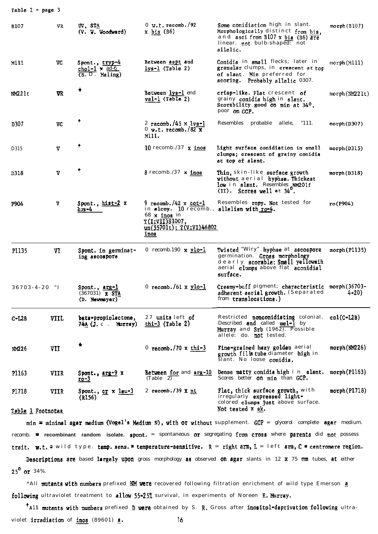| Table 1 - page 3           |                                   |                                                            |                                                                                                                                                       |                                                                                                                                                           |               |
|----------------------------|-----------------------------------|------------------------------------------------------------|-------------------------------------------------------------------------------------------------------------------------------------------------------|-----------------------------------------------------------------------------------------------------------------------------------------------------------|---------------|
| B107                       | VR<br>UV, STA<br>(V. W. Woodward) |                                                            | $0 \text{ W.t. } \text{recomb.} / 92$<br>x <u>bis</u> (B6)                                                                                            | Some conidiation high in slant.<br>Morphologically distinct from bis.<br>and asci from B107 x bis (B6) are<br>linear. not bulb-shaped: not<br>allelic.    | morph(B107)   |
| M111                       | VC                                | Spont., tryp-4<br>chol-1 $\times$ ad-6<br>$(B. D.$ Maling) | Between aspt and<br>$lys-l$ (Table 2)                                                                                                                 | Conidia in small flecks; later in<br>granular clumps, in crescent at top<br><b>of slant. Min</b> preferred for<br>scoring. Probably allelic 0307.         | morph(M111)   |
| NM221t                     | VR                                | ×                                                          | Between lys-1 end<br>val-1 (Table 2)                                                                                                                  | crisp-like. Flat crescent of<br>grainy conidia high in slant.<br>Scorability good on min at 34°,<br>poor on GCP.                                          | morph(NM221t) |
| D307                       | VC                                | 4                                                          | 2 recomb./45 x lys-1<br>$0 \text{ w.t. } \text{recomb.} / 82 \text{ x}$<br>Mill.                                                                      | Resembles probable allele,<br>- 111.                                                                                                                      | morph(D307)   |
| D315                       | v                                 | ۰                                                          | 10 recomb./37 x inos                                                                                                                                  | Light surface conidiation in small<br>clumps; crescent of grainy conidia<br>at top of slant.                                                              | morph(D315)   |
| D318                       | V                                 |                                                            | 8 recomb./37 <b>x inos</b>                                                                                                                            | Thin, skin-like surface growth<br>without aerial hyphae. Thickest<br>low in slant. Resembles NM201f<br>$(II)$ . Scores well at $34^{\circ}$ .             | morph(D318)   |
| P904                       | v                                 | Spont., hist-2 x<br>$crs-4$                                | 9 recomb./42 $\times$ cot-1<br>in alcoy. 10 recomb., allelism with ro-4.<br>68 x inos in<br><u>T(I;VII)S1007,</u><br>un(55701t); T(V;VI)46802<br>inos | Resembles ropy. Not tested for                                                                                                                            | ro(P904)      |
| P1135                      | VI                                | Spont. in germinat-<br>ing ascospore                       | 0 recomb.190 $\times$ ylo-1                                                                                                                           | Twisted "Wiry" hyphae at ascospore<br>germination. Gross morphology<br>dearly scorable: Small yellowsth<br>aerial clumps above flat aconidial<br>surface. | morph(P1135)  |
| $36703 - 4 - 20$ "I        |                                   | Spont., arg-l<br>$(367031)$ <b>x STA</b><br>(D. Newmeyer)  | 0 $recomb. / 61 x ylo-1$                                                                                                                              | Creamy-buff pigment; characteristic morph(36703-<br>adherent serial growth. (Separated<br>from translocations.)                                           | $4 - 20$      |
| $C-LLB$                    | VIIL                              | beta-propiolactone,<br>$74A$ (J. c. Murray)                | 27 units left of<br>$thi-3$ (Table 2)                                                                                                                 | Restricted <b>nonconidiating</b> colonial.<br>Described and called mel-1 by<br>Murray and Srb (1962). Possible<br>allele: do. not tested.                 | $col(C-L2B)$  |
| NM226                      | VII                               | ۰                                                          | 0 recomb./70 $x$ thi-3                                                                                                                                | Fine-grained hazy golden aerial<br>growth fills tube diameter high in<br>slant. No loose conidia.                                                         | morph(MM226)  |
| P1163                      | VIIR                              | Spont., <u>arg-9</u> x<br><u>ro-3</u>                      | Between for and arg-10<br>(Table 2)                                                                                                                   | Dense matty conidia high i n slant.<br>Scores better on $min$ than GCP.                                                                                   | morph(P1163)  |
| P1718<br>Table 1 Footnotes | VIIR                              | Spont., cr x leu-3<br>(R156)                               | 2 recomb./39 $x$ nt                                                                                                                                   | Flat, thick surface growth, with<br>irregularly expressed light-<br>colored clumps just above surface.<br>Not tested x sk.                                | morph(P1718)  |
|                            |                                   |                                                            |                                                                                                                                                       |                                                                                                                                                           |               |

 $min = minimal agent medium (Vogel's Medium N)$ , with or without supplement. GCP = glycerol complete agar medium. recomb. " recombinant random isolate. spont. = spontaneous or segregating from cross where parents did not possess trait. w.t. = wild type. temp. sens. = temperature-sensitive. R = right arm, L = left arm, C = centromere region.

Descriptions are based largely upon gross morphology as observed on agar slants in 12 x 75 mm tubes, at either  $25^{\circ}$  or 34%.

\*All mutants with numbers prefixed NM were recovered following filtration enrichment of wild type Emerson a following ultraviolet treatment to allow 55-25% survival, in experiments of Noreen E. Murray.

\*All mutants with numbers prefixed D were obtained by S. R. Gross after inositol-deprivation following ultraviolet irradiation of inos (89601) a. 16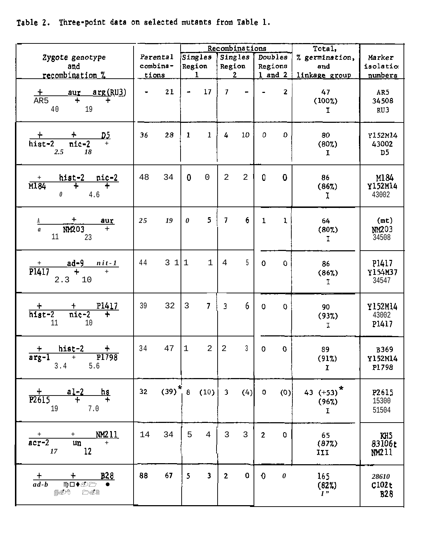Table 2. Three-point data on selected mutants from Table 1.

|                                                                                                                      |          |          |                |                         |                | Recombinations |                |                         | Total,                |                    |
|----------------------------------------------------------------------------------------------------------------------|----------|----------|----------------|-------------------------|----------------|----------------|----------------|-------------------------|-----------------------|--------------------|
| Zygote genotype                                                                                                      |          | Parental |                | Singles                 |                | Singles        |                | Doubles                 | % germination,<br>and | Marker<br>isolatio |
| and                                                                                                                  | combina- |          | Region         |                         | Region         |                | Regions        |                         |                       |                    |
| recombination %                                                                                                      |          | tions    |                | $\mathbf{1}$            |                | $\mathbf{2}$   |                | 1 and 2 $ $             | linkage group         | numbers            |
|                                                                                                                      |          |          |                |                         |                |                |                |                         |                       |                    |
|                                                                                                                      |          | 21       | $\blacksquare$ | 17                      | $\mathcal{I}$  |                |                | $\overline{\mathbf{2}}$ | 47                    | AR5                |
| $\frac{+}{\text{AR5}}$ aur arg(RU3)<br>AR5                                                                           |          |          |                |                         |                |                |                |                         | (100%)                | 34508              |
|                                                                                                                      |          |          |                |                         |                |                |                |                         |                       |                    |
| 40 19                                                                                                                |          |          |                |                         |                |                |                |                         | I.                    | RU3                |
|                                                                                                                      |          |          |                |                         |                |                |                |                         |                       |                    |
|                                                                                                                      |          |          |                |                         |                |                |                | O                       |                       |                    |
| $rac{+}{\text{hist-2}}$ + $rac{+}{\text{nic-2}}$ +                                                                   | 36       | 28       | $\mathbf{1}$   | $\mathbf{1}$            | 4              | 10             | 0              |                         | 80                    | Y152M14            |
|                                                                                                                      |          |          |                |                         |                |                |                |                         | (80%)                 | 43002              |
| $2.5^{\circ}$<br>18                                                                                                  |          |          |                |                         |                |                |                |                         | $\mathbf I$           | D5                 |
|                                                                                                                      |          |          |                |                         |                |                |                |                         |                       |                    |
|                                                                                                                      |          |          | $\mathbf{0}$   | $\Omega$                |                |                | 0              | $\mathbf 0$             |                       |                    |
| $\begin{array}{c cc}\n\text{hist-2} & \text{nic-2} \\ \hline\n+ & + & + \\ 0 & 4.6\n\end{array}$<br>$\frac{+}{1184}$ | 48       | 34       |                |                         | 2              | 2              |                |                         | 86                    | M184               |
|                                                                                                                      |          |          |                |                         |                |                |                |                         | (86%)                 | Y152M14            |
| 4.6                                                                                                                  |          |          |                |                         |                |                |                |                         | Ι.                    | 43002              |
|                                                                                                                      |          |          |                |                         |                |                |                |                         |                       |                    |
|                                                                                                                      |          |          |                | 51                      | $\mathcal{I}$  | 6.             | $\mathbf{1}$   | $\mathbf{1}$            |                       |                    |
| $\frac{+}{N M 203}$ $\frac{1}{+}$                                                                                    | 2.5      | 19       | $\theta$       |                         |                |                |                |                         | 64                    | (mt)               |
| $\overline{a}$                                                                                                       |          |          |                |                         |                |                |                |                         | (802)                 | NM203              |
| 11<br>23                                                                                                             |          |          |                |                         |                |                |                |                         | $\mathbf I$           | 34508              |
|                                                                                                                      |          |          |                |                         |                |                |                |                         |                       |                    |
|                                                                                                                      |          |          |                |                         |                |                |                |                         |                       |                    |
| $\frac{ad-9}{+}$ $\frac{nit-1}{+}$<br>$\frac{1}{P1417}$                                                              | 44       | 311      |                | $\mathbf{1}$            | $\overline{4}$ | $5 -$          | $\Omega$       | 0                       | 86                    | P1417              |
|                                                                                                                      |          |          |                |                         |                |                |                |                         | (86%)                 | Y154M37            |
| 2.3 10                                                                                                               |          |          |                |                         |                |                |                |                         | T.                    | 34547              |
|                                                                                                                      |          |          |                |                         |                |                |                |                         |                       |                    |
|                                                                                                                      |          |          |                |                         |                |                |                |                         |                       |                    |
| $\frac{+}{\text{hist}-2}$ $\frac{+}{\text{nic}-2}$ $\frac{+}{\text{pic}-2}$                                          | 39       | 32       | $\overline{3}$ | $\overline{7}$          | $\overline{3}$ | 6.             | $\Omega$       | 0                       | 90                    | Y152M14            |
|                                                                                                                      |          |          |                |                         |                |                |                |                         | (93%)                 | 43002              |
| 11<br>10                                                                                                             |          |          |                |                         |                |                |                |                         | I                     | P1417              |
|                                                                                                                      |          |          |                |                         |                |                |                |                         |                       |                    |
|                                                                                                                      |          |          |                |                         |                |                |                |                         |                       |                    |
| $\begin{array}{cccc}\n & + & \text{hist-2} & + \\ \hline\n\text{arg-1} & + & \text{Pl} & 798\n\end{array}$           | 34       | 47       | $\mathbf{1}$   | $\overline{2}$          | $\overline{2}$ | $\overline{3}$ | $\Omega$       | 0                       | 89                    | <b>B369</b>        |
|                                                                                                                      |          |          |                |                         |                |                |                |                         | (912)                 | Y152M14            |
| 5.6<br>3.4                                                                                                           |          |          |                |                         |                |                |                |                         | $\mathbf{r}$          | P1798              |
|                                                                                                                      |          |          |                |                         |                |                |                |                         |                       |                    |
|                                                                                                                      | 32       |          |                | $(39)^*$ 8 $(10)$       |                |                |                |                         |                       |                    |
| $\frac{+}{P2615}$ al-2 hs                                                                                            |          |          |                |                         | 3 <sup>2</sup> | (4)            | $\Omega$       | (0)                     | 43 $(+53)^*$          | P2615              |
|                                                                                                                      |          |          |                |                         |                |                |                |                         | (96%)                 | 15300              |
| 19<br>7.0                                                                                                            |          |          |                |                         |                |                |                |                         | $\mathbf{I}$          | 51504              |
|                                                                                                                      |          |          |                |                         |                |                |                |                         |                       |                    |
|                                                                                                                      |          |          |                |                         |                |                |                |                         |                       |                    |
| $+m$ $+$ $\frac{NM211}{+}$<br>$\frac{+}{\arctan 2}$                                                                  | 14       | 34       |                | $5 \quad 4$             | $\overline{3}$ | $\overline{3}$ | $\overline{2}$ | $\Omega$                | 65                    | KH <sub>5</sub>    |
|                                                                                                                      |          |          |                |                         |                |                |                |                         | (872)                 | 83106r             |
| 12<br>17                                                                                                             |          |          |                |                         |                |                |                |                         | IJ                    | NM211              |
|                                                                                                                      |          |          |                |                         |                |                |                |                         |                       |                    |
|                                                                                                                      | 88       | 67       | $5 -$          | $\overline{\mathbf{3}}$ | $\overline{2}$ | 0              | $\bullet$      | $\boldsymbol{\theta}$   | 165                   | 28610              |
| $\frac{+}{ad-b}$ $\frac{+}{\sqrt{a^2-b^2}}$ $\frac{B28}{•}$                                                          |          |          |                |                         |                |                |                |                         | (82%)                 | C102t              |
| ∰⊗Ø^®<br><b>A</b>                                                                                                    |          |          |                |                         |                |                |                |                         | $I$ "                 | <b>B28</b>         |
|                                                                                                                      |          |          |                |                         |                |                |                |                         |                       |                    |
|                                                                                                                      |          |          |                |                         |                |                |                |                         |                       |                    |